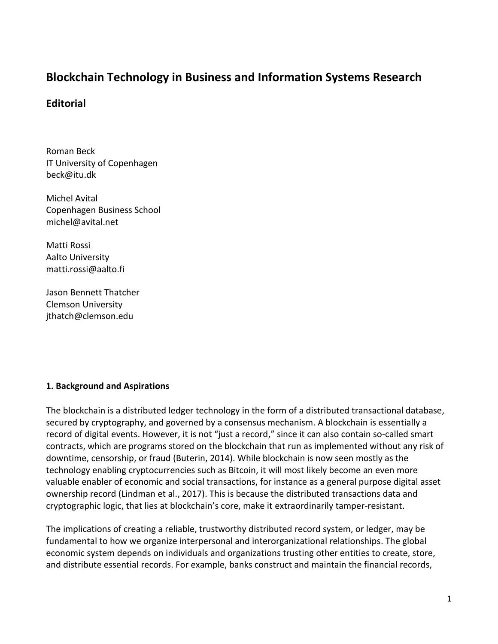# **Blockchain Technology in Business and Information Systems Research**

# **Editorial**

Roman Beck IT University of Copenhagen beck@itu.dk

Michel Avital Copenhagen Business School michel@avital.net

Matti Rossi Aalto University matti.rossi@aalto.fi

Jason Bennett Thatcher Clemson University jthatch@clemson.edu

### **1. Background and Aspirations**

The blockchain is a distributed ledger technology in the form of a distributed transactional database, secured by cryptography, and governed by a consensus mechanism. A blockchain is essentially a record of digital events. However, it is not "just a record," since it can also contain so-called smart contracts, which are programs stored on the blockchain that run as implemented without any risk of downtime, censorship, or fraud (Buterin, 2014). While blockchain is now seen mostly as the technology enabling cryptocurrencies such as Bitcoin, it will most likely become an even more valuable enabler of economic and social transactions, for instance as a general purpose digital asset ownership record (Lindman et al., 2017). This is because the distributed transactions data and cryptographic logic, that lies at blockchain's core, make it extraordinarily tamper-resistant.

The implications of creating a reliable, trustworthy distributed record system, or ledger, may be fundamental to how we organize interpersonal and interorganizational relationships. The global economic system depends on individuals and organizations trusting other entities to create, store, and distribute essential records. For example, banks construct and maintain the financial records,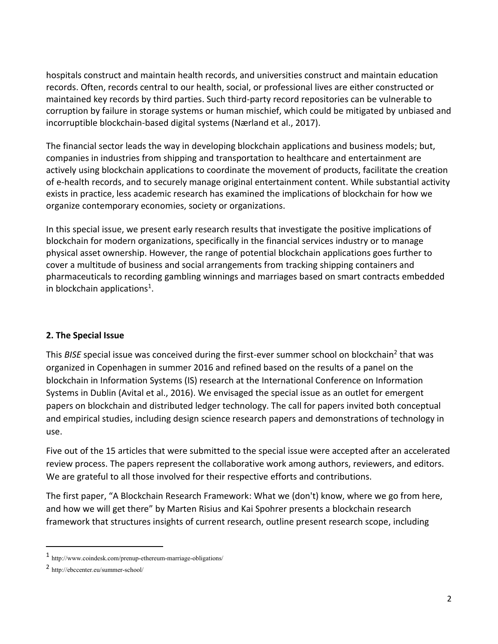hospitals construct and maintain health records, and universities construct and maintain education records. Often, records central to our health, social, or professional lives are either constructed or maintained key records by third parties. Such third-party record repositories can be vulnerable to corruption by failure in storage systems or human mischief, which could be mitigated by unbiased and incorruptible blockchain-based digital systems (Nærland et al., 2017).

The financial sector leads the way in developing blockchain applications and business models; but, companies in industries from shipping and transportation to healthcare and entertainment are actively using blockchain applications to coordinate the movement of products, facilitate the creation of e-health records, and to securely manage original entertainment content. While substantial activity exists in practice, less academic research has examined the implications of blockchain for how we organize contemporary economies, society or organizations.

In this special issue, we present early research results that investigate the positive implications of blockchain for modern organizations, specifically in the financial services industry or to manage physical asset ownership. However, the range of potential blockchain applications goes further to cover a multitude of business and social arrangements from tracking shipping containers and pharmaceuticals to recording gambling winnings and marriages based on smart contracts embedded in blockchain applications<sup>1</sup>.

## **2. The Special Issue**

This BISE special issue was conceived during the first-ever summer school on blockchain<sup>2</sup> that was organized in Copenhagen in summer 2016 and refined based on the results of a panel on the blockchain in Information Systems (IS) research at the International Conference on Information Systems in Dublin (Avital et al., 2016). We envisaged the special issue as an outlet for emergent papers on blockchain and distributed ledger technology. The call for papers invited both conceptual and empirical studies, including design science research papers and demonstrations of technology in use.

Five out of the 15 articles that were submitted to the special issue were accepted after an accelerated review process. The papers represent the collaborative work among authors, reviewers, and editors. We are grateful to all those involved for their respective efforts and contributions.

The first paper, "A Blockchain Research Framework: What we (don't) know, where we go from here, and how we will get there" by Marten Risius and Kai Spohrer presents a blockchain research framework that structures insights of current research, outline present research scope, including

l

<sup>1</sup> http://www.coindesk.com/prenup-ethereum-marriage-obligations/

<sup>2</sup> http://ebccenter.eu/summer-school/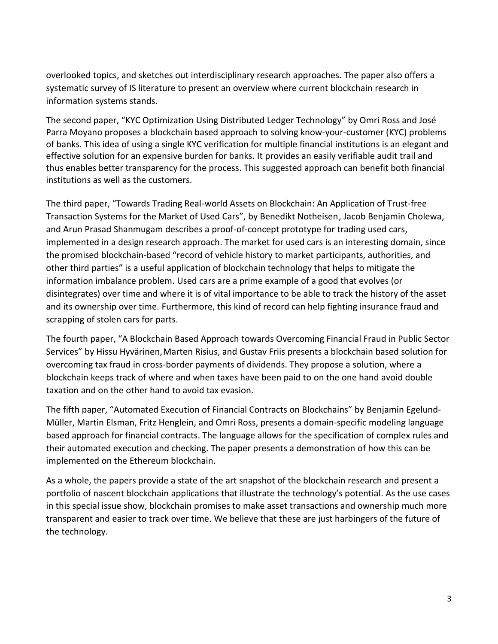overlooked topics, and sketches out interdisciplinary research approaches. The paper also offers a systematic survey of IS literature to present an overview where current blockchain research in information systems stands.

The second paper, "KYC Optimization Using Distributed Ledger Technology" by Omri Ross and José Parra Moyano proposes a blockchain based approach to solving know-your-customer (KYC) problems of banks. This idea of using a single KYC verification for multiple financial institutions is an elegant and effective solution for an expensive burden for banks. It provides an easily verifiable audit trail and thus enables better transparency for the process. This suggested approach can benefit both financial institutions as well as the customers.

The third paper, "Towards Trading Real-world Assets on Blockchain: An Application of Trust-free Transaction Systems for the Market of Used Cars", by Benedikt Notheisen, Jacob Benjamin Cholewa, and Arun Prasad Shanmugam describes a proof-of-concept prototype for trading used cars, implemented in a design research approach. The market for used cars is an interesting domain, since the promised blockchain-based "record of vehicle history to market participants, authorities, and other third parties" is a useful application of blockchain technology that helps to mitigate the information imbalance problem. Used cars are a prime example of a good that evolves (or disintegrates) over time and where it is of vital importance to be able to track the history of the asset and its ownership over time. Furthermore, this kind of record can help fighting insurance fraud and scrapping of stolen cars for parts.

The fourth paper, "A Blockchain Based Approach towards Overcoming Financial Fraud in Public Sector Services" by Hissu Hyvärinen,Marten Risius, and Gustav Friis presents a blockchain based solution for overcoming tax fraud in cross-border payments of dividends. They propose a solution, where a blockchain keeps track of where and when taxes have been paid to on the one hand avoid double taxation and on the other hand to avoid tax evasion.

The fifth paper, "Automated Execution of Financial Contracts on Blockchains" by Benjamin Egelund-Müller, Martin Elsman, Fritz Henglein, and Omri Ross, presents a domain-specific modeling language based approach for financial contracts. The language allows for the specification of complex rules and their automated execution and checking. The paper presents a demonstration of how this can be implemented on the Ethereum blockchain.

As a whole, the papers provide a state of the art snapshot of the blockchain research and present a portfolio of nascent blockchain applications that illustrate the technology's potential. As the use cases in this special issue show, blockchain promises to make asset transactions and ownership much more transparent and easier to track over time. We believe that these are just harbingers of the future of the technology.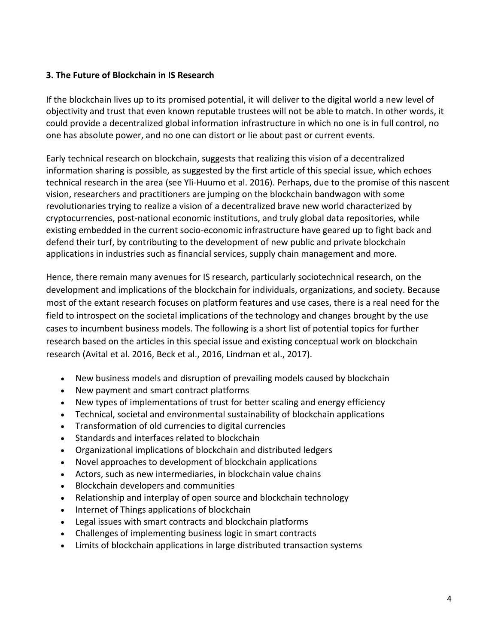## **3. The Future of Blockchain in IS Research**

If the blockchain lives up to its promised potential, it will deliver to the digital world a new level of objectivity and trust that even known reputable trustees will not be able to match. In other words, it could provide a decentralized global information infrastructure in which no one is in full control, no one has absolute power, and no one can distort or lie about past or current events.

Early technical research on blockchain, suggests that realizing this vision of a decentralized information sharing is possible, as suggested by the first article of this special issue, which echoes technical research in the area (see Yli-Huumo et al. 2016). Perhaps, due to the promise of this nascent vision, researchers and practitioners are jumping on the blockchain bandwagon with some revolutionaries trying to realize a vision of a decentralized brave new world characterized by cryptocurrencies, post-national economic institutions, and truly global data repositories, while existing embedded in the current socio-economic infrastructure have geared up to fight back and defend their turf, by contributing to the development of new public and private blockchain applications in industries such as financial services, supply chain management and more.

Hence, there remain many avenues for IS research, particularly sociotechnical research, on the development and implications of the blockchain for individuals, organizations, and society. Because most of the extant research focuses on platform features and use cases, there is a real need for the field to introspect on the societal implications of the technology and changes brought by the use cases to incumbent business models. The following is a short list of potential topics for further research based on the articles in this special issue and existing conceptual work on blockchain research (Avital et al. 2016, Beck et al., 2016, Lindman et al., 2017).

- New business models and disruption of prevailing models caused by blockchain
- New payment and smart contract platforms
- New types of implementations of trust for better scaling and energy efficiency
- Technical, societal and environmental sustainability of blockchain applications
- Transformation of old currencies to digital currencies
- Standards and interfaces related to blockchain
- Organizational implications of blockchain and distributed ledgers
- Novel approaches to development of blockchain applications
- Actors, such as new intermediaries, in blockchain value chains
- Blockchain developers and communities
- Relationship and interplay of open source and blockchain technology
- Internet of Things applications of blockchain
- Legal issues with smart contracts and blockchain platforms
- Challenges of implementing business logic in smart contracts
- Limits of blockchain applications in large distributed transaction systems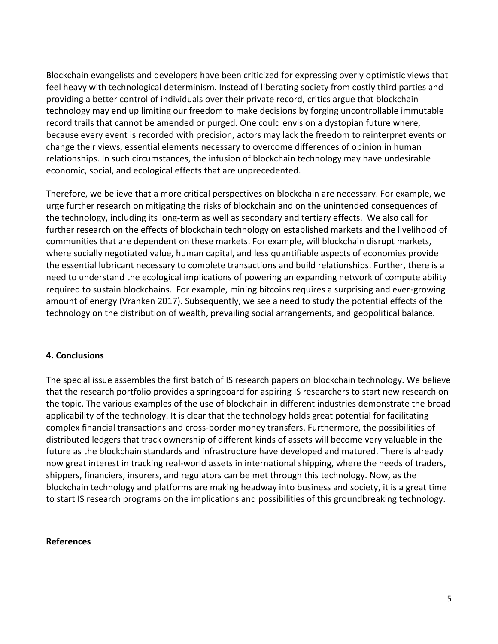Blockchain evangelists and developers have been criticized for expressing overly optimistic views that feel heavy with technological determinism. Instead of liberating society from costly third parties and providing a better control of individuals over their private record, critics argue that blockchain technology may end up limiting our freedom to make decisions by forging uncontrollable immutable record trails that cannot be amended or purged. One could envision a dystopian future where, because every event is recorded with precision, actors may lack the freedom to reinterpret events or change their views, essential elements necessary to overcome differences of opinion in human relationships. In such circumstances, the infusion of blockchain technology may have undesirable economic, social, and ecological effects that are unprecedented.

Therefore, we believe that a more critical perspectives on blockchain are necessary. For example, we urge further research on mitigating the risks of blockchain and on the unintended consequences of the technology, including its long-term as well as secondary and tertiary effects. We also call for further research on the effects of blockchain technology on established markets and the livelihood of communities that are dependent on these markets. For example, will blockchain disrupt markets, where socially negotiated value, human capital, and less quantifiable aspects of economies provide the essential lubricant necessary to complete transactions and build relationships. Further, there is a need to understand the ecological implications of powering an expanding network of compute ability required to sustain blockchains. For example, mining bitcoins requires a surprising and ever-growing amount of energy (Vranken 2017). Subsequently, we see a need to study the potential effects of the technology on the distribution of wealth, prevailing social arrangements, and geopolitical balance.

#### **4. Conclusions**

The special issue assembles the first batch of IS research papers on blockchain technology. We believe that the research portfolio provides a springboard for aspiring IS researchers to start new research on the topic. The various examples of the use of blockchain in different industries demonstrate the broad applicability of the technology. It is clear that the technology holds great potential for facilitating complex financial transactions and cross-border money transfers. Furthermore, the possibilities of distributed ledgers that track ownership of different kinds of assets will become very valuable in the future as the blockchain standards and infrastructure have developed and matured. There is already now great interest in tracking real-world assets in international shipping, where the needs of traders, shippers, financiers, insurers, and regulators can be met through this technology. Now, as the blockchain technology and platforms are making headway into business and society, it is a great time to start IS research programs on the implications and possibilities of this groundbreaking technology.

#### **References**